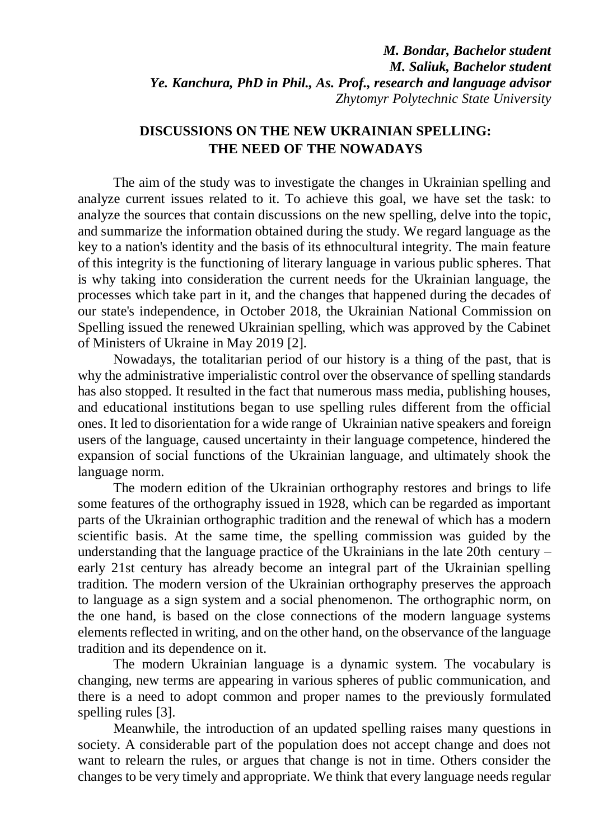## **DISCUSSIONS ON THE NEW UKRAINIAN SPELLING: THE NEED OF THE NOWADAYS**

The aim of the study was to investigate the changes in Ukrainian spelling and analyze current issues related to it. To achieve this goal, we have set the task: to analyze the sources that contain discussions on the new spelling, delve into the topic, and summarize the information obtained during the study. We regard language as the key to a nation's identity and the basis of its ethnocultural integrity. The main feature of this integrity is the functioning of literary language in various public spheres. That is why taking into consideration the current needs for the Ukrainian language, the processes which take part in it, and the changes that happened during the decades of our state's independence, in October 2018, the Ukrainian National Commission on Spelling issued the renewed Ukrainian spelling, which was approved by the Cabinet of Ministers of Ukraine in May 2019 [2].

Nowadays, the totalitarian period of our history is a thing of the past, that is why the administrative imperialistic control over the observance of spelling standards has also stopped. It resulted in the fact that numerous mass media, publishing houses, and educational institutions began to use spelling rules different from the official ones. It led to disorientation for a wide range of Ukrainian native speakers and foreign users of the language, caused uncertainty in their language competence, hindered the expansion of social functions of the Ukrainian language, and ultimately shook the language norm.

The modern edition of the Ukrainian orthography restores and brings to life some features of the orthography issued in 1928, which can be regarded as important parts of the Ukrainian orthographic tradition and the renewal of which has a modern scientific basis. At the same time, the spelling commission was guided by the understanding that the language practice of the Ukrainians in the late 20th century – early 21st century has already become an integral part of the Ukrainian spelling tradition. The modern version of the Ukrainian orthography preserves the approach to language as a sign system and a social phenomenon. The orthographic norm, on the one hand, is based on the close connections of the modern language systems elements reflected in writing, and on the other hand, on the observance of the language tradition and its dependence on it.

The modern Ukrainian language is a dynamic system. The vocabulary is changing, new terms are appearing in various spheres of public communication, and there is a need to adopt common and proper names to the previously formulated spelling rules [3].

Meanwhile, the introduction of an updated spelling raises many questions in society. A considerable part of the population does not accept change and does not want to relearn the rules, or argues that change is not in time. Others consider the changes to be very timely and appropriate. We think that every language needs regular